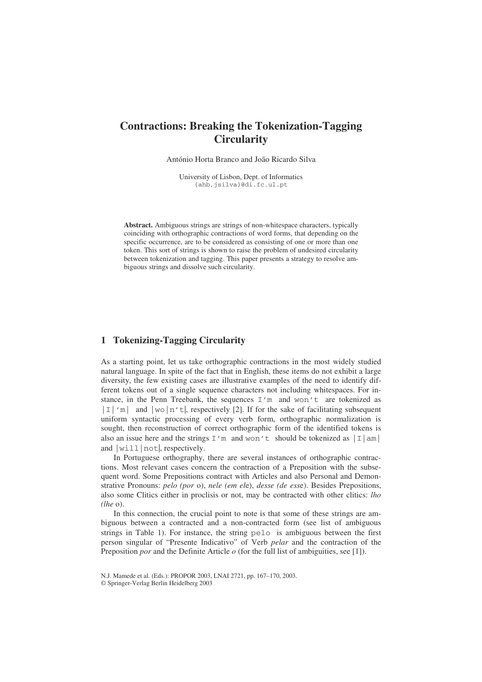# **Contractions: Breaking the Tokenization-Tagging Circularity**

António Horta Branco and João Ricardo Silva

University of Lisbon, Dept. of Informatics {ahb,jsilva}@di.fc.ul.pt

**Abstract.** Ambiguous strings are strings of non-whitespace characters, typically coinciding with orthographic contractions of word forms, that depending on the specific occurrence, are to be considered as consisting of one or more than one token. This sort of strings is shown to raise the problem of undesired circularity between tokenization and tagging. This paper presents a strategy to resolve ambiguous strings and dissolve such circularity.

#### **1 Tokenizing-Tagging Circularity**

As a starting point, let us take orthographic contractions in the most widely studied natural language. In spite of the fact that in English, these items do not exhibit a large diversity, the few existing cases are illustrative examples of the need to identify different tokens out of a single sequence characters not including whitespaces. For instance, in the Penn Treebank, the sequences I'm and won't are tokenized as  $|I|'$ m and  $|wo|n't|$ , respectively [2]. If for the sake of facilitating subsequent uniform syntactic processing of every verb form, orthographic normalization is sought, then reconstruction of correct orthographic form of the identified tokens is also an issue here and the strings  $\mathbb{I}'$  m and won't should be tokenized as  $|\mathbb{I}|$ am and  $|$  will  $|$  not $|$ , respectively.

In Portuguese orthography, there are several instances of orthographic contractions. Most relevant cases concern the contraction of a Preposition with the subsequent word. Some Prepositions contract with Articles and also Personal and Demonstrative Pronouns: *pelo (por* o), *nele (em el*e), *desse (de ess*e). Besides Prepositions, also some Clitics either in proclisis or not, may be contracted with other clitics: *lho (lhe* o).

In this connection, the crucial point to note is that some of these strings are ambiguous between a contracted and a non-contracted form (see list of ambiguous strings in Table 1). For instance, the string pelo is ambiguous between the first person singular of "Presente Indicativo" of Verb *pelar* and the contraction of the Preposition *por* and the Definite Article *o* (for the full list of ambiguities, see [1]).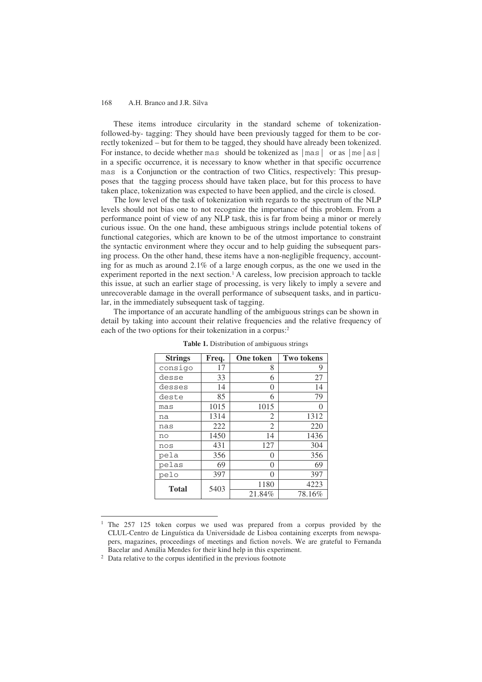These items introduce circularity in the standard scheme of tokenizationfollowed-by- tagging: They should have been previously tagged for them to be correctly tokenized – but for them to be tagged, they should have already been tokenized. For instance, to decide whether mas should be tokenized as  $\lfloor \text{mas} \rfloor$  or as  $\lfloor \text{me} \rfloor$  as  $\lfloor \text{ms} \rfloor$ in a specific occurrence, it is necessary to know whether in that specific occurrence mas is a Conjunction or the contraction of two Clitics, respectively: This presupposes that the tagging process should have taken place, but for this process to have taken place, tokenization was expected to have been applied, and the circle is closed.

The low level of the task of tokenization with regards to the spectrum of the NLP levels should not bias one to not recognize the importance of this problem. From a performance point of view of any NLP task, this is far from being a minor or merely curious issue. On the one hand, these ambiguous strings include potential tokens of functional categories, which are known to be of the utmost importance to constraint the syntactic environment where they occur and to help guiding the subsequent parsing process. On the other hand, these items have a non-negligible frequency, accounting for as much as around 2.1% of a large enough corpus, as the one we used in the experiment reported in the next section.<sup>1</sup> A careless, low precision approach to tackle this issue, at such an earlier stage of processing, is very likely to imply a severe and unrecoverable damage in the overall performance of subsequent tasks, and in particular, in the immediately subsequent task of tagging.

The importance of an accurate handling of the ambiguous strings can be shown in detail by taking into account their relative frequencies and the relative frequency of each of the two options for their tokenization in a corpus:<sup>2</sup>

| <b>Strings</b> | Freq. | <b>One token</b> | <b>Two tokens</b> |
|----------------|-------|------------------|-------------------|
| consigo        | 17    | 8                | 9                 |
| desse          | 33    | 6                | 27                |
| desses         | 14    | 0                | 14                |
| deste          | 85    | 6                | 79                |
| mas            | 1015  | 1015             |                   |
| na             | 1314  | 2                | 1312              |
| nas            | 222   | 2                | 220               |
| no             | 1450  | 14               | 1436              |
| nos            | 431   | 127              | 304               |
| pela           | 356   | 0                | 356               |
| pelas          | 69    | $\theta$         | 69                |
| pelo           | 397   | 0                | 397               |
| <b>Total</b>   | 5403  | 1180             | 4223              |
|                |       | 21.84%           | 78.16%            |

Table 1. Distribution of ambiguous strings

<sup>&</sup>lt;sup>1</sup> The 257 125 token corpus we used was prepared from a corpus provided by the CLUL-Centro de Linguística da Universidade de Lisboa containing excerpts from newspapers, magazines, proceedings of meetings and fiction novels. We are grateful to Fernanda Bacelar and Amália Mendes for their kind help in this experiment.

<sup>&</sup>lt;sup>2</sup> Data relative to the corpus identified in the previous footnote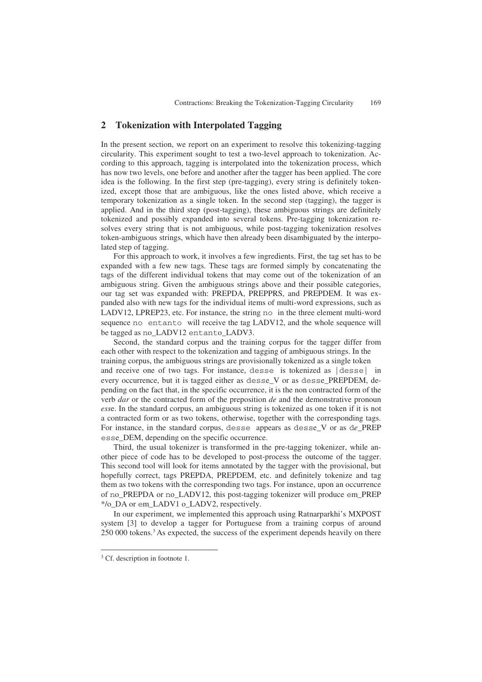#### **2 Tokenization with Interpolated Tagging**

In the present section, we report on an experiment to resolve this tokenizing-tagging circularity. This experiment sought to test a two-level approach to tokenization. According to this approach, tagging is interpolated into the tokenization process, which has now two levels, one before and another after the tagger has been applied. The core idea is the following. In the first step (pre-tagging), every string is definitely tokenized, except those that are ambiguous, like the ones listed above, which receive a temporary tokenization as a single token. In the second step (tagging), the tagger is applied. And in the third step (post-tagging), these ambiguous strings are definitely tokenized and possibly expanded into several tokens. Pre-tagging tokenization resolves every string that is not ambiguous, while post-tagging tokenization resolves token-ambiguous strings, which have then already been disambiguated by the interpolated step of tagging.

For this approach to work, it involves a few ingredients. First, the tag set has to be expanded with a few new tags. These tags are formed simply by concatenating the tags of the different individual tokens that may come out of the tokenization of an ambiguous string. Given the ambiguous strings above and their possible categories, our tag set was expanded with: PREPDA, PREPPRS, and PREPDEM. It was expanded also with new tags for the individual items of multi-word expressions, such as LADV12, LPREP23, etc. For instance, the string no in the three element multi-word sequence no entanto will receive the tag LADV12, and the whole sequence will be tagged as no\_LADV12 entanto\_LADV3.

Second, the standard corpus and the training corpus for the tagger differ from each other with respect to the tokenization and tagging of ambiguous strings. In the training corpus, the ambiguous strings are provisionally tokenized as a single token and receive one of two tags. For instance, desse is tokenized as |desse| in every occurrence, but it is tagged either as desse\_V or as desse\_PREPDEM, depending on the fact that, in the specific occurrence, it is the non contracted form of the verb *dar* or the contracted form of the preposition *de* and the demonstrative pronoun *ess*e. In the standard corpus, an ambiguous string is tokenized as one token if it is not a contracted form or as two tokens, otherwise, together with the corresponding tags. For instance, in the standard corpus, desse appears as desse\_V or as d*e\_*PREP esse\_DEM, depending on the specific occurrence.

Third, the usual tokenizer is transformed in the pre-tagging tokenizer, while another piece of code has to be developed to post-process the outcome of the tagger. This second tool will look for items annotated by the tagger with the provisional, but hopefully correct, tags PREPDA, PREPDEM, etc. and definitely tokenize and tag them as two tokens with the corresponding two tags. For instance, upon an occurrence of no\_PREPDA or no\_LADV12, this post-tagging tokenizer will produce em\_PREP \*/o\_DA or em\_LADV1 o\_LADV2, respectively.

In our experiment, we implemented this approach using Ratnarparkhi's MXPOST system [3] to develop a tagger for Portuguese from a training corpus of around 250 000 tokens.3 As expected, the success of the experiment depends heavily on there

 $\overline{a}$ 

<sup>&</sup>lt;sup>3</sup> Cf. description in footnote 1.